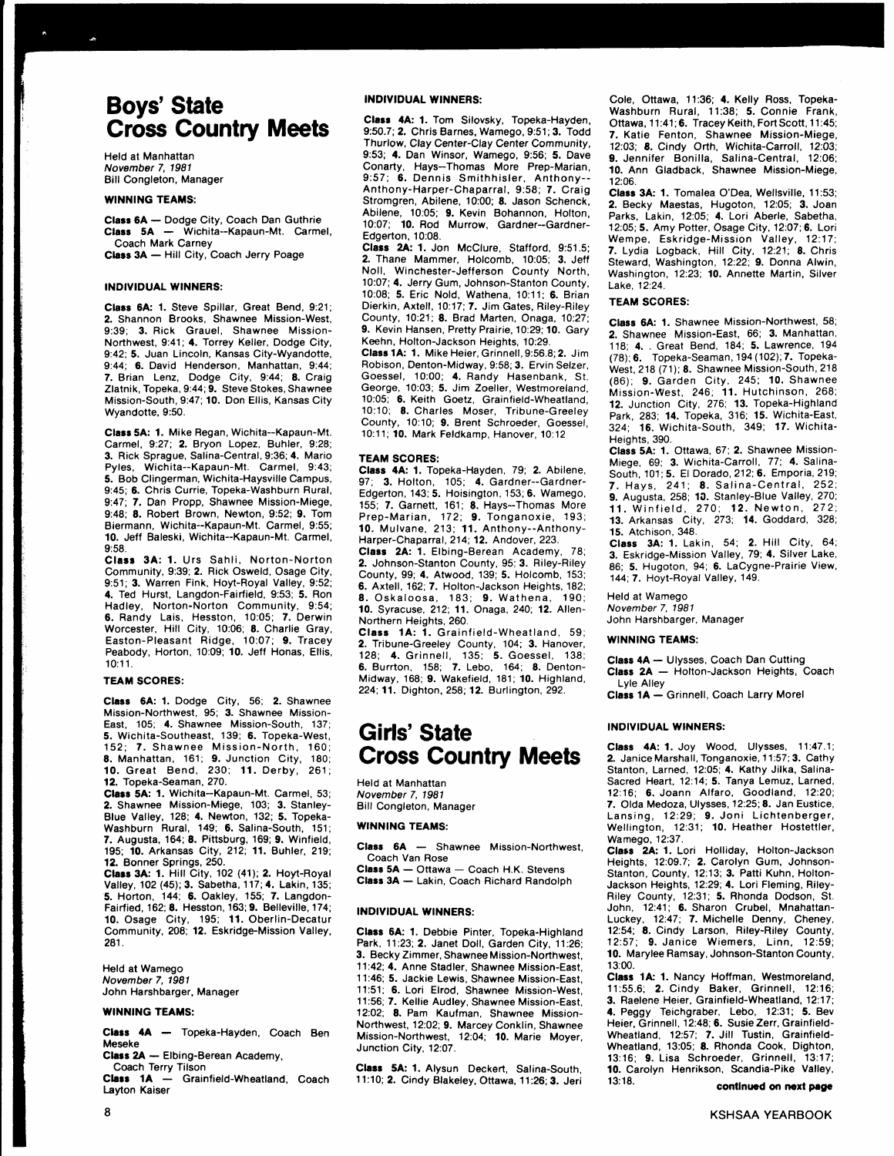# **Boys' State** Cross Country Meets

Held at Manhattan November 7, 1981 Bill Congleton, Manager

#### WINNING TEAMS:

Class 6A - Dodge City, Coach Dan Guthrie Class 5A - Wichita--Kapaun-Mt. Carmel, Coach Mark Carney Class 3A - Hill City, Coach Jerry Poage

#### INDIVIDUAL WINNERS:

Class 6A: 1. Steve Spillar, Great Bend, 9:21; 2. Shannon Brooks, Shawnee Mission-West, 9:39; 3. Rick Grauel, Shawnee Mission-Northwest, 9:41; 4. Torrey Keller, Dodge City, 9:42;5. Juan Lincoln, Kansas City-Wyandotte, 9:44; 6. David Henderson, Manhattan, 9:44; 7. Brian Lenz, Dodge City, 9:44; 8. Craig Zlatnik, Topeka, 9:44; 9. Steve Stokes, Shawnee Mission-South,9:47; 10. Don Ellis, Kansas City Wyandotte, 9:50.

Class 5A: 1. Mike Regan, Wichita--Kapaun-Mt. Carmel, 9:27: 2. Bryon Lopez, Buhler, 9:28; 3. Rick Sprague, Salina-Central, 9.36; 4. Mario Pyles, Wichita--Kapaun-Mt. Carmel, 9:43; 5. Bob Clingerman, Wichita-Haysville Campus, 9:45; 6. Chris Currie, Topeka-Washburn Rural, 9:47; 7. Dan Propp, Shawnee Mission-Miege, 9:48; 8. Robert Brown, Newton, 9:52; 9. Tom Biermann, Wichita--Kapaun-Mt. Carmel, 9:55; 10. Jeff Baleski, Wichita--Kapaun-Mt. Carmel, 9:58.

Class 3A: 1. Urs Sahli, Norton-Norton Community, 9:39; 2. Rick Osweld, Osage City, 9:51; 3. Warren Fink, Hoyt-Royal Valley, 9:52; 4. Ted Hurst, Langdon-Fairfield, 9:53; 5. Ron Hadley, Norton-Norton Community, 9:54; 6. Randy Lais, Hesston, 10:05; 7. Derwin Worcester, Hill City, 10:06; 8. Charlie Gray, Easton-Pleasant Ridge, 10:07; 9. Tracey Peabody, Horton, 10:09; 10. Jeff Honas, Ellis, 10:11.

#### TEAM SCORES:

Class 6A: 1. Dodge City, 56; 2. Shawnee Mission-Northwest, 95; 3. Shawnee Mission-East, 105; 4. Shawnee Mission-South, 137: 5. Wichita-Southeast, 139; 6. Topeka-West, 152; 7. Shawnee Mission-North, 160; 8. Manhattan, 161; 9. Junction City, 180; 10. Great Bend, 23Oi 11. Derby, 261; 12. Topeka-Seaman, 270.

Class 5A: 1. Wichita--Kapaun-Mt. Carmel, 53; 2. Shawnee Mission-Miege, 103; 3. Stanley-Blue Valley, 128; 4. Newton, 132; 5. Topeka-Washburn Rural, 149; 6. Salina-South, 151: 7. Augusta, 164; 8. Pittsburg, 169; 9. Winfield, 195; 10. Arkansas City, 212; 11. Buhler, 219; 12. Bonner Springs, 250.

Class 3A: 1. Hill City, 102 (41); 2. Hoyt-Royal Valley, 102 (45); 3. Sabetha, 117; 4. Lakin, 135; 5. Horton, 144; 6. Oakley, 155; 7. Langdon-Fairfied, 162; 8. Hesston, 163;9. Belleville, '174; 10. Osage City, 195; 11. Oberlin-Decatur Community, 208; 12. Eskridge.Mission Valley, 281.

Held at Wamego November 7. 1981 John Harshbarger, Manager

#### WINNING TEAMS:

Class 4A - Topeka-Hayden, Coach Ben Meseke

Class 2A - Elbing-Berean Academy,

Coach Terry Tilson Class 1A - Grainfield-Wheatland, Coach Layton Kaiser

#### INDIVIDUAL WINNERS:

Class 4A: 1. Tom Silovsky, Topeka-Hayden, 9:50.7; 2. Chris Barnes, Wamego, 9:51; 3. Todd Thurlow, Clay Center-Clay Center Community, 9:53; 4. Dan Winsor, Wamego, 9:56; 5. Dave Conarty, Hays-Thomas More Prep-Marian, 9:57; 6. Dennis Smithhisler, Anthony-- Anthony-Harper-Chaparral, 9;58; 7. Craig Stromgren, Abilene, 10:00; 8. Jason Schenck, Abilene, 10:05; 9. Kevin Bohannon, Holton, 10:07: 10. Rod Murrow. Gardner-Gardner-Edgerton, 10:08.

Class 2A:1. Jon McClure, Stafford, 9:51.5; 2. Thane Mammer, Holcomb, 10:05; 3. Jeff Noll, Winchester-Jefferson County North,<br>10:07; 4. Jerry Gum, Johnson-Stanton County, 10:07; **4.** Jerry Gum, Johnson-Stanton County,<br>10:08; 5. Eric Nold, Wathena, 10:11; **6.** Brian<br>Dierkin, Axtell, 10:17; 7. Jim Gates, Riley-Riley County, 10:21; 8. Brad Marten, Onaga, 10:27; 9. Kevin Hansen, Pretty Prairie, 10:29; 10. Gary Keehn, Holton-Jackson Heights, 10:29.

Class 1A: 1. Mike Heier, Grinnell, 9:56.8; 2. Jim Robison, Denton-Midway, 9:58; 3. Ervin Selzer, Goessel, 10:00; 4. Randy Hasenbank, St. George, 10:03; 5. Jim Zoeller, Westmoreland, 10:05; 6. Keith Goetz, Grainfield-Wheatland, 10:10; 8. Charles Moser, Tribune-Greeley County, 10:10; 9. Brent Schroeder, Goessel, 10:11; 10. Mark Feldkamp, Hanover,10:12

#### TEAM SCORES:

Class 4A: 1. Topeka-Hayden, 79; 2. Abilene, 97; 3. Holton, 105; 4. Gardner--Gardner-Edgerton, 143; 5. Hoisington, 153; 6. Wamego, 155; 7. Garnett, 161; 8. Hays-Thomas More Prep-Marian, 172; 9. Tonganoxie, 193; 10. Mulvane, 213; 11. Anthony--Anthony-Harper-Chaparral, 214; 12. Andover, 223.

Class 2A: 1. Elbing-Berean Academy, 78; 2. Johnson-Stanton County, 95; 3. Riley-Riley County, 99; 4. Atwood, 139; 5. Holcomb, 153; 6. Axtell, 162;7. Holton-Jackson Heights, 182; 8. Oskaloosa, 183; 9. Wathena, 190; 10. Syracuse, 212;11. Onaga, 240; 12. Allen-Northern Heights, 260.

Class 1A: 1. Grainfield-Wheatland, 59; 2. Tribune-Greeley County, 104; 3. Hanover, 128; 4. Grinnell, '135; 5. Goessel, 138; 6. Burrton, 158; 7. Lebo. 1d4: 8. Denton-Midway, 168; 9. Wakefield, 181; 10. Highland, 224; 11. Dighton, 258: 12. Burlington, 292.

# Girls' State Cross Country Meets

Held at Manhattan November 7, 1981 Bill Congleton, Manager

#### WINNING TEAMS:

Class 6A - Shawnee Mission-Northwest, Coach Van Rose

 $Class 5A - Ottawa - Coach H.K. Stevens$ Class 3A - Lakin, Coach Richard Randolph

#### INDIVIDUAL WINNERS:

Class 6A: 1. Debbie Pinter, Topeka-Highland Park, 11:23; 2. Janet Doll, Garden City, 11:26;<br>3. Becky Zimmer, Shawnee Mission-Northwest, 11:42; 4. Anne Stadler, Shawnee Mission-East, 11:46; 5. Jackie Lewis, Shawnee Mission-East, 11:51; 6. Lori Elrod, Shawnee Mission-West, 11:56; 7. Kellie Audley, Shawnee Mission-East, 12:O2; 8. Pam Kaufman, Shawnee Mission-Northwest, 12:02; 9. Marcey Conklin, Shawnee Mission-Northwest, 12:04; 10. Marie Moyer, Junction City, 12:07.

Class 5A: 1. Alysun Deckert, Salina-South, 1'l:10;2. Cindy Blakeley, Ottawa, 11:26;3. Jeri Cole, Ottawa, 11:36; 4. Kelly Ross, Topeka-Washburn Rural, 11:38; 5. Connie Frank, Ottawa, 11:41; 6. Tracey Keith, Fort Scott, 11:45; 7. Katie Fenton, Shawnee Mission-Miege, 12:03; 8. Cindy Orth, Wichita-Carroll, 12:03; 9. Jennifer Bonilla, Salina-Central, 12:06; 10. Ann Gladback, Shawnee Mission-Miege, 12:06.

Class 3A: 1. Tomalea O'Dea, Wellsville, 11:53; 2. Becky Maestas, Hugoton, 12:05; 3. Joan Parks, Lakin, 12:05; 4. Lori Aberle, Sabetha, 12:05; 5. Amy Potter, Osage City,12:07;6. Lori Wempe, Eskridge-Mission Valley, 12:17; 7. Lydia Logback, Hill City, 12:21; 8. Chris Steward, Washington, 12:22: 9. Donna Alwin, Washington, 12:23; 10. Annette Martin, Silver Lake,12:24.

#### TEAM SGORES:

Class 6A: 1. Shawnee Mission-Northwest, 58; 2. Shawnee Mission-East, 66; 3' Manhattan' 118; 4. . Great Bend, 184; 5. Lawrence, 194 (78); 6. Topeka-Seaman, 194 (1o2),7- Topeka-West, 218 (71); 8. Shawnee Mission-South, 218 (86); 9. Garden CitY, 245: 10. Shawnee Mission-West. 246: 11. Hutchinson, 268; 12. Junction City, 276: 13. Topeka-Highland Park, 283; 14. Topeka, 316; 15. Wichita-East, 324: 16. Wichita-South, 349; 17. Wichita-Heights, 390.

Class 5A: 1. Ottawa, 67; 2. Shawnee Mission-Miege, 69; 3. Wichita-Carroll, 77; 4. Salina-South, 101; 5. El Dorado, 212; 6. Emporia, 219; 7. Hays, 241: 8. Salina-Central, 252; 9. Augusta, 258; 10. Stanley-Blue Yalley,270; 11. Winfield, ?70; 12. Newton, 272: 13. Arkansas City, 273; 14. Goddard, 328; 15. Atchison, 348.

Class 3A: 1. Lakin, 54; 2. Hill CitY, 64; 3. Eskridge-Mission Valley, 79; 4. Silver Lake, 86; 5. Hugoton, 94; 6. LaOygne-Prairie View, 144:7. Hoyt-Royal Valley, 149.

Held at Wamego November 7, 1981 John Harshbarger, Manager

#### WINNING TEAMS:

Class 4A - Ulysses, Coach Dan Cutting Class 2A - Holton-Jackson Heights, Coach Lyle Alley

Class 1A - Grinnell, Coach Larry Morel

#### INDIVIDUAL WINNERS:

Cfass 4A: 1. Joy Wood, Ulysses, 11:47.1; 2. Janice Marshall, Tonganoxie, 11:57;3. Cathy Stanton, Larned, 12:05; 4. Kathy Jilka, Salina-Sacred Heart, 12:14; 5. Tanya Lemuz, Larned, 12:16; 6. Joann Alfaro, Goodland, 12:20;<br>7. Olda Medoza, Ulysses, 12:25; 8. Jan Eustice, Lansing, 12:29; 9. Joni Lichtenberger, Wellington, 12:31; 10. Heather Hostettler, Wamego, 12:37.

Class 2A: 1. Lori Holliday, Holton-Jackson Heights, 12:09.7; 2. Carolyn Gum, Johnson-Stanton, County, 12:13; 3. Patti Kuhn, Holton-Jackson Heights, 12:29; 4. Lori Fleming, Riley-Riley County, 12:31; **5.** Rhonda Dodson, St.<br>John, 12:41; **6.** Sharon Crubel, Mnahattan-Luckey, 12:47: 7. Michelle Denny, Cheney, 12:54, 8. Cindy Larson, Riley-Riley County, 12:57: 9. Janice Wiemers, Linn, 12:59; 10. Marylee Ramsay, Johnson-Stanton County, 13:00.

Class 1A: 1. Nancy Hoffman, Westmoreland,<br>11:55.6; 2. Cindy Baker, Grinnell, 12:16;<br>3. Raelene Heier, Grainfield-Wheatland, 12:17; 4. Peggy Teichgraber, Lebo, 12:31; 5. Bev Heier, Grinnell, 12:48; 6. Susie Zerr, Grainfield-Wheatland. 12:57: 7. Jill Tustin, Grainfield-Wheatland, 13;05; 8. Rhonda Cook, Dighton, 13:16: 9. Lisa Schroeder, Grinnell, 13:17; 10. Carolyn Henrikson, Scandia-Pike Valley,<br>13:18. carolynum continued as next pape

continued on next page